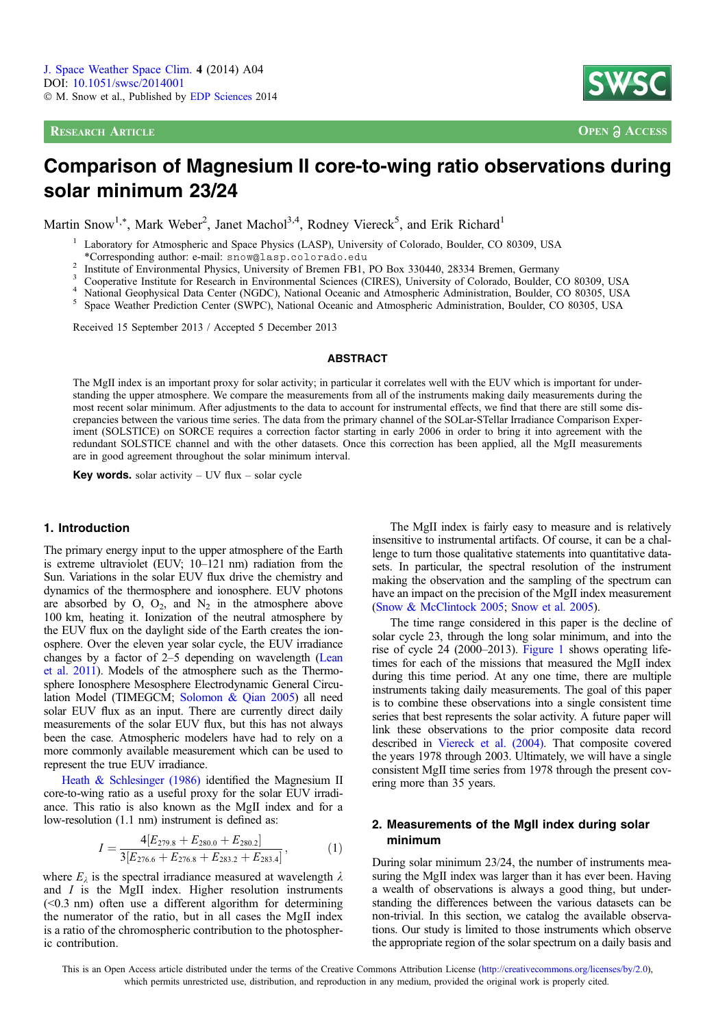# **RESEARCH ARTICLE OPEN ACCESS**



# Comparison of Magnesium II core-to-wing ratio observations during solar minimum 23/24

Martin Snow<sup>1,\*</sup>, Mark Weber<sup>2</sup>, Janet Machol<sup>3,4</sup>, Rodney Viereck<sup>5</sup>, and Erik Richard<sup>1</sup>

Laboratory for Atmospheric and Space Physics (LASP), University of Colorado, Boulder, CO 80309, USA \*Corresponding author: e-mail: snow@lasp.colorado.edu

<sup>2</sup><br>
Institute of Environmental Physics, University of Bremen FB1, PO Box 330440, 28334 Bremen, Germany<br>
<sup>3</sup> Cooperative Institute for Research in Environmental Sciences (CIRES), University of Colorado, Boulder, CO 80309,

Received 15 September 2013 / Accepted 5 December 2013

#### ABSTRACT

The MgII index is an important proxy for solar activity; in particular it correlates well with the EUV which is important for understanding the upper atmosphere. We compare the measurements from all of the instruments making daily measurements during the most recent solar minimum. After adjustments to the data to account for instrumental effects, we find that there are still some discrepancies between the various time series. The data from the primary channel of the SOLar-STellar Irradiance Comparison Experiment (SOLSTICE) on SORCE requires a correction factor starting in early 2006 in order to bring it into agreement with the redundant SOLSTICE channel and with the other datasets. Once this correction has been applied, all the MgII measurements are in good agreement throughout the solar minimum interval.

**Key words.** solar activity  $-$  UV flux  $-$  solar cycle

## 1. Introduction

The primary energy input to the upper atmosphere of the Earth is extreme ultraviolet (EUV; 10–121 nm) radiation from the Sun. Variations in the solar EUV flux drive the chemistry and dynamics of the thermosphere and ionosphere. EUV photons are absorbed by  $O$ ,  $O_2$ , and  $N_2$  in the atmosphere above 100 km, heating it. Ionization of the neutral atmosphere by the EUV flux on the daylight side of the Earth creates the ionosphere. Over the eleven year solar cycle, the EUV irradiance changes by a factor of 2–5 depending on wavelength ([Lean](#page-5-0) [et al. 2011](#page-5-0)). Models of the atmosphere such as the Thermosphere Ionosphere Mesosphere Electrodynamic General Circulation Model (TIMEGCM; [Solomon & Qian 2005](#page-5-0)) all need solar EUV flux as an input. There are currently direct daily measurements of the solar EUV flux, but this has not always been the case. Atmospheric modelers have had to rely on a more commonly available measurement which can be used to represent the true EUV irradiance.

[Heath & Schlesinger \(1986\)](#page-5-0) identified the Magnesium II core-to-wing ratio as a useful proxy for the solar EUV irradiance. This ratio is also known as the MgII index and for a low-resolution (1.1 nm) instrument is defined as:

$$
I = \frac{4[E_{279.8} + E_{280.0} + E_{280.2}]}{3[E_{276.6} + E_{276.8} + E_{283.2} + E_{283.4}]},
$$
(1)

where  $E_{\lambda}$  is the spectral irradiance measured at wavelength  $\lambda$ and I is the MgII index. Higher resolution instruments  $( $0.3 \text{ nm}$ )$  often use a different algorithm for determining the numerator of the ratio, but in all cases the MgII index is a ratio of the chromospheric contribution to the photospheric contribution.

The MgII index is fairly easy to measure and is relatively insensitive to instrumental artifacts. Of course, it can be a challenge to turn those qualitative statements into quantitative datasets. In particular, the spectral resolution of the instrument making the observation and the sampling of the spectrum can have an impact on the precision of the MgII index measurement [\(Snow & McClintock 2005;](#page-5-0) [Snow et al. 2005](#page-5-0)).

The time range considered in this paper is the decline of solar cycle 23, through the long solar minimum, and into the rise of cycle 24 (2000–2013). [Figure 1](#page-1-0) shows operating lifetimes for each of the missions that measured the MgII index during this time period. At any one time, there are multiple instruments taking daily measurements. The goal of this paper is to combine these observations into a single consistent time series that best represents the solar activity. A future paper will link these observations to the prior composite data record described in [Viereck et al. \(2004\)](#page-5-0). That composite covered the years 1978 through 2003. Ultimately, we will have a single consistent MgII time series from 1978 through the present covering more than 35 years.

# 2. Measurements of the MgII index during solar minimum

During solar minimum 23/24, the number of instruments measuring the MgII index was larger than it has ever been. Having a wealth of observations is always a good thing, but understanding the differences between the various datasets can be non-trivial. In this section, we catalog the available observations. Our study is limited to those instruments which observe the appropriate region of the solar spectrum on a daily basis and

This is an Open Access article distributed under the terms of the Creative Commons Attribution License ([http://creativecommons.org/licenses/by/2.0\),](http://creativecommons.org/licenses/by/2.0/) [which permits unrestricted use, distribution, and reproduction in any medium, provided the original work is properly cited.](http://creativecommons.org/licenses/by/2.0/)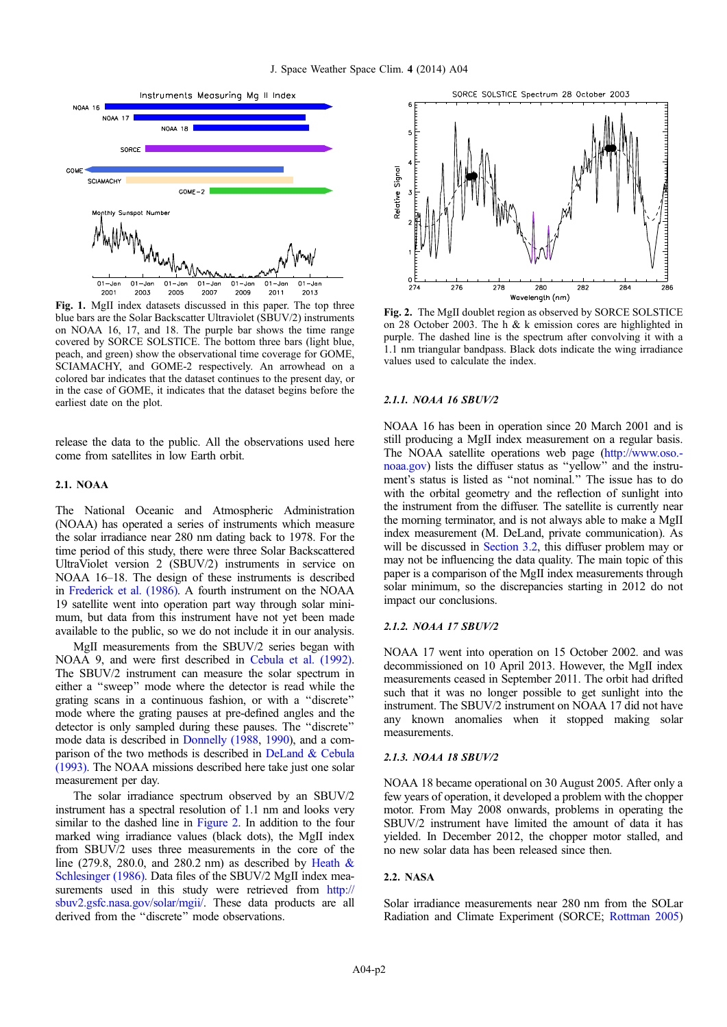<span id="page-1-0"></span>

Fig. 1. MgII index datasets discussed in this paper. The top three blue bars are the Solar Backscatter Ultraviolet (SBUV/2) instruments on NOAA 16, 17, and 18. The purple bar shows the time range covered by SORCE SOLSTICE. The bottom three bars (light blue, peach, and green) show the observational time coverage for GOME, SCIAMACHY, and GOME-2 respectively. An arrowhead on a colored bar indicates that the dataset continues to the present day, or in the case of GOME, it indicates that the dataset begins before the earliest date on the plot.

release the data to the public. All the observations used here come from satellites in low Earth orbit.

#### 2.1. NOAA

The National Oceanic and Atmospheric Administration (NOAA) has operated a series of instruments which measure the solar irradiance near 280 nm dating back to 1978. For the time period of this study, there were three Solar Backscattered UltraViolet version 2 (SBUV/2) instruments in service on NOAA 16–18. The design of these instruments is described in [Frederick et al. \(1986\)](#page-5-0). A fourth instrument on the NOAA 19 satellite went into operation part way through solar minimum, but data from this instrument have not yet been made available to the public, so we do not include it in our analysis.

MgII measurements from the SBUV/2 series began with NOAA 9, and were first described in [Cebula et al. \(1992\).](#page-5-0) The SBUV/2 instrument can measure the solar spectrum in either a ''sweep'' mode where the detector is read while the grating scans in a continuous fashion, or with a ''discrete'' mode where the grating pauses at pre-defined angles and the detector is only sampled during these pauses. The ''discrete'' mode data is described in [Donnelly \(1988,](#page-5-0) [1990\)](#page-5-0), and a comparison of the two methods is described in [DeLand & Cebula](#page-5-0) [\(1993\).](#page-5-0) The NOAA missions described here take just one solar measurement per day.

The solar irradiance spectrum observed by an SBUV/2 instrument has a spectral resolution of 1.1 nm and looks very similar to the dashed line in Figure 2. In addition to the four marked wing irradiance values (black dots), the MgII index from SBUV/2 uses three measurements in the core of the line (279.8, 280.0, and 280.2 nm) as described by Heath  $\&$ [Schlesinger \(1986\)](#page-5-0). Data files of the SBUV/2 MgII index measurements used in this study were retrieved from [http://](http://sbuv2.gsfc.nasa.gov/solar/mgii/) [sbuv2.gsfc.nasa.gov/solar/mgii/.](http://sbuv2.gsfc.nasa.gov/solar/mgii/) These data products are all derived from the "discrete" mode observations.



Fig. 2. The MgII doublet region as observed by SORCE SOLSTICE on 28 October 2003. The h & k emission cores are highlighted in purple. The dashed line is the spectrum after convolving it with a 1.1 nm triangular bandpass. Black dots indicate the wing irradiance values used to calculate the index.

### 2.1.1. NOAA 16 SBUV/2

NOAA 16 has been in operation since 20 March 2001 and is still producing a MgII index measurement on a regular basis. The NOAA satellite operations web page [\(http://www.oso.](http://www.oso.noaa.gov) [noaa.gov](http://www.oso.noaa.gov)) lists the diffuser status as ''yellow'' and the instrument's status is listed as ''not nominal.'' The issue has to do with the orbital geometry and the reflection of sunlight into the instrument from the diffuser. The satellite is currently near the morning terminator, and is not always able to make a MgII index measurement (M. DeLand, private communication). As will be discussed in [Section 3.2](#page-5-0), this diffuser problem may or may not be influencing the data quality. The main topic of this paper is a comparison of the MgII index measurements through solar minimum, so the discrepancies starting in 2012 do not impact our conclusions.

## 2.1.2. NOAA 17 SBUV/2

NOAA 17 went into operation on 15 October 2002. and was decommissioned on 10 April 2013. However, the MgII index measurements ceased in September 2011. The orbit had drifted such that it was no longer possible to get sunlight into the instrument. The SBUV/2 instrument on NOAA 17 did not have any known anomalies when it stopped making solar measurements.

### 2.1.3. NOAA 18 SBUV/2

NOAA 18 became operational on 30 August 2005. After only a few years of operation, it developed a problem with the chopper motor. From May 2008 onwards, problems in operating the SBUV/2 instrument have limited the amount of data it has yielded. In December 2012, the chopper motor stalled, and no new solar data has been released since then.

### 2.2. NASA

Solar irradiance measurements near 280 nm from the SOLar Radiation and Climate Experiment (SORCE; [Rottman 2005](#page-5-0))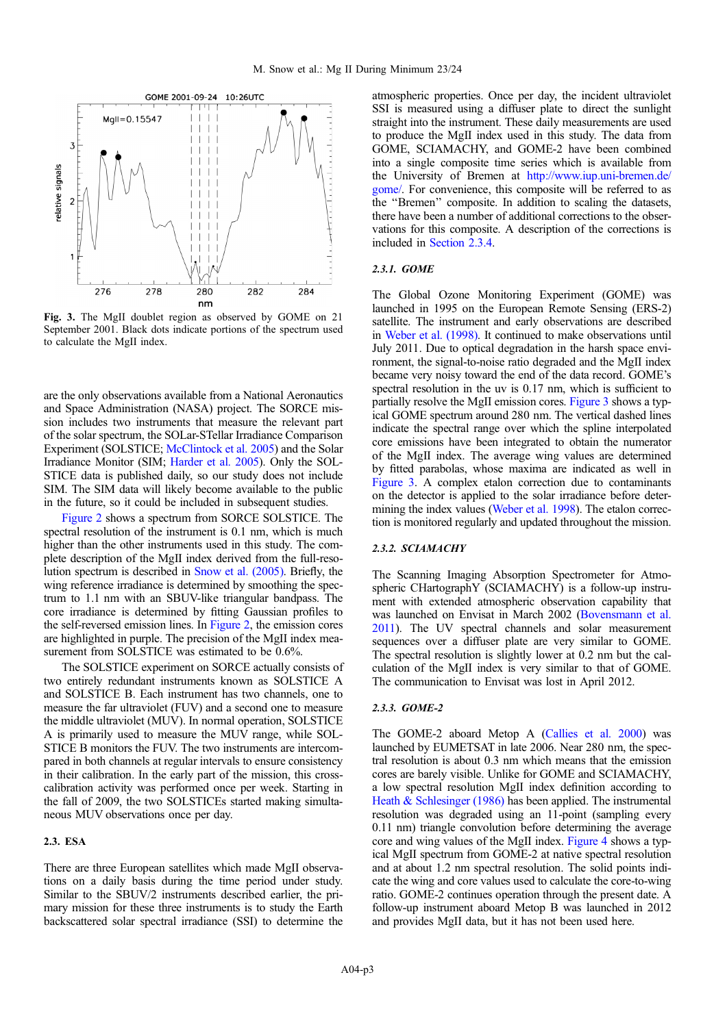

Fig. 3. The MgII doublet region as observed by GOME on 21 September 2001. Black dots indicate portions of the spectrum used to calculate the MgII index.

are the only observations available from a National Aeronautics and Space Administration (NASA) project. The SORCE mission includes two instruments that measure the relevant part of the solar spectrum, the SOLar-STellar Irradiance Comparison Experiment (SOLSTICE; [McClintock et al. 2005\)](#page-5-0) and the Solar Irradiance Monitor (SIM; [Harder et al. 2005](#page-5-0)). Only the SOL-STICE data is published daily, so our study does not include SIM. The SIM data will likely become available to the public in the future, so it could be included in subsequent studies.

[Figure 2](#page-1-0) shows a spectrum from SORCE SOLSTICE. The spectral resolution of the instrument is 0.1 nm, which is much higher than the other instruments used in this study. The complete description of the MgII index derived from the full-resolution spectrum is described in [Snow et al. \(2005\)](#page-5-0). Briefly, the wing reference irradiance is determined by smoothing the spectrum to 1.1 nm with an SBUV-like triangular bandpass. The core irradiance is determined by fitting Gaussian profiles to the self-reversed emission lines. In [Figure 2,](#page-1-0) the emission cores are highlighted in purple. The precision of the MgII index measurement from SOLSTICE was estimated to be 0.6%.

The SOLSTICE experiment on SORCE actually consists of two entirely redundant instruments known as SOLSTICE A and SOLSTICE B. Each instrument has two channels, one to measure the far ultraviolet (FUV) and a second one to measure the middle ultraviolet (MUV). In normal operation, SOLSTICE A is primarily used to measure the MUV range, while SOL-STICE B monitors the FUV. The two instruments are intercompared in both channels at regular intervals to ensure consistency in their calibration. In the early part of the mission, this crosscalibration activity was performed once per week. Starting in the fall of 2009, the two SOLSTICEs started making simultaneous MUV observations once per day.

#### 2.3. ESA

There are three European satellites which made MgII observations on a daily basis during the time period under study. Similar to the SBUV/2 instruments described earlier, the primary mission for these three instruments is to study the Earth backscattered solar spectral irradiance (SSI) to determine the

atmospheric properties. Once per day, the incident ultraviolet SSI is measured using a diffuser plate to direct the sunlight straight into the instrument. These daily measurements are used to produce the MgII index used in this study. The data from GOME, SCIAMACHY, and GOME-2 have been combined into a single composite time series which is available from the University of Bremen at [http://www.iup.uni-bremen.de/](http://www.iup.uni-bremen.de/gome/) [gome/.](http://www.iup.uni-bremen.de/gome/) For convenience, this composite will be referred to as the ''Bremen'' composite. In addition to scaling the datasets, there have been a number of additional corrections to the observations for this composite. A description of the corrections is included in [Section 2.3.4](#page-3-0).

#### 2.3.1. GOME

The Global Ozone Monitoring Experiment (GOME) was launched in 1995 on the European Remote Sensing (ERS-2) satellite. The instrument and early observations are described in [Weber et al. \(1998\)](#page-5-0). It continued to make observations until July 2011. Due to optical degradation in the harsh space environment, the signal-to-noise ratio degraded and the MgII index became very noisy toward the end of the data record. GOME's spectral resolution in the uv is 0.17 nm, which is sufficient to partially resolve the MgII emission cores. Figure 3 shows a typical GOME spectrum around 280 nm. The vertical dashed lines indicate the spectral range over which the spline interpolated core emissions have been integrated to obtain the numerator of the MgII index. The average wing values are determined by fitted parabolas, whose maxima are indicated as well in Figure 3. A complex etalon correction due to contaminants on the detector is applied to the solar irradiance before deter-mining the index values [\(Weber et al. 1998](#page-5-0)). The etalon correction is monitored regularly and updated throughout the mission.

#### 2.3.2. SCIAMACHY

The Scanning Imaging Absorption Spectrometer for Atmospheric CHartographY (SCIAMACHY) is a follow-up instrument with extended atmospheric observation capability that was launched on Envisat in March 2002 [\(Bovensmann et al.](#page-5-0) [2011\)](#page-5-0). The UV spectral channels and solar measurement sequences over a diffuser plate are very similar to GOME. The spectral resolution is slightly lower at 0.2 nm but the calculation of the MgII index is very similar to that of GOME. The communication to Envisat was lost in April 2012.

#### 2.3.3. GOME-2

The GOME-2 aboard Metop A ([Callies et al. 2000\)](#page-5-0) was launched by EUMETSAT in late 2006. Near 280 nm, the spectral resolution is about 0.3 nm which means that the emission cores are barely visible. Unlike for GOME and SCIAMACHY, a low spectral resolution MgII index definition according to [Heath & Schlesinger \(1986\)](#page-5-0) has been applied. The instrumental resolution was degraded using an 11-point (sampling every 0.11 nm) triangle convolution before determining the average core and wing values of the MgII index. [Figure 4](#page-3-0) shows a typical MgII spectrum from GOME-2 at native spectral resolution and at about 1.2 nm spectral resolution. The solid points indicate the wing and core values used to calculate the core-to-wing ratio. GOME-2 continues operation through the present date. A follow-up instrument aboard Metop B was launched in 2012 and provides MgII data, but it has not been used here.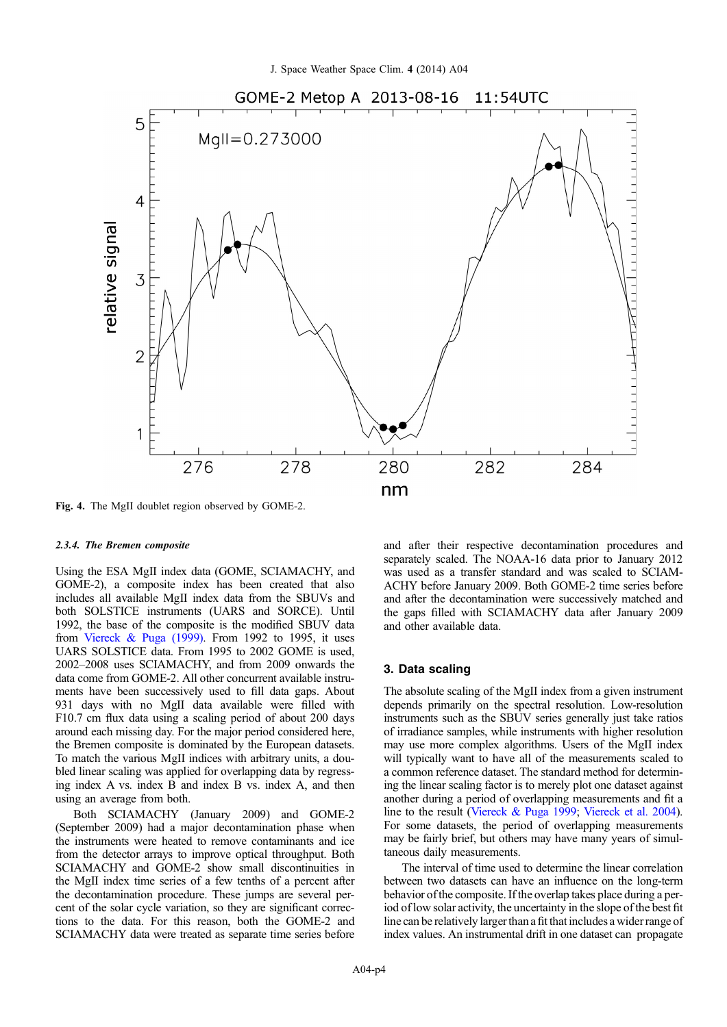<span id="page-3-0"></span>

Fig. 4. The MgII doublet region observed by GOME-2.

#### 2.3.4. The Bremen composite

Using the ESA MgII index data (GOME, SCIAMACHY, and GOME-2), a composite index has been created that also includes all available MgII index data from the SBUVs and both SOLSTICE instruments (UARS and SORCE). Until 1992, the base of the composite is the modified SBUV data from [Viereck & Puga \(1999\)](#page-5-0). From 1992 to 1995, it uses UARS SOLSTICE data. From 1995 to 2002 GOME is used, 2002–2008 uses SCIAMACHY, and from 2009 onwards the data come from GOME-2. All other concurrent available instruments have been successively used to fill data gaps. About 931 days with no MgII data available were filled with F10.7 cm flux data using a scaling period of about 200 days around each missing day. For the major period considered here, the Bremen composite is dominated by the European datasets. To match the various MgII indices with arbitrary units, a doubled linear scaling was applied for overlapping data by regressing index A vs. index B and index B vs. index A, and then using an average from both.

Both SCIAMACHY (January 2009) and GOME-2 (September 2009) had a major decontamination phase when the instruments were heated to remove contaminants and ice from the detector arrays to improve optical throughput. Both SCIAMACHY and GOME-2 show small discontinuities in the MgII index time series of a few tenths of a percent after the decontamination procedure. These jumps are several percent of the solar cycle variation, so they are significant corrections to the data. For this reason, both the GOME-2 and SCIAMACHY data were treated as separate time series before and after their respective decontamination procedures and separately scaled. The NOAA-16 data prior to January 2012 was used as a transfer standard and was scaled to SCIAM-ACHY before January 2009. Both GOME-2 time series before and after the decontamination were successively matched and the gaps filled with SCIAMACHY data after January 2009 and other available data.

#### 3. Data scaling

The absolute scaling of the MgII index from a given instrument depends primarily on the spectral resolution. Low-resolution instruments such as the SBUV series generally just take ratios of irradiance samples, while instruments with higher resolution may use more complex algorithms. Users of the MgII index will typically want to have all of the measurements scaled to a common reference dataset. The standard method for determining the linear scaling factor is to merely plot one dataset against another during a period of overlapping measurements and fit a line to the result ([Viereck & Puga 1999](#page-5-0); [Viereck et al. 2004\)](#page-5-0). For some datasets, the period of overlapping measurements may be fairly brief, but others may have many years of simultaneous daily measurements.

The interval of time used to determine the linear correlation between two datasets can have an influence on the long-term behavior of the composite. If the overlap takes place during a period of low solar activity, the uncertainty in the slope of the best fit line can be relatively larger than a fit that includes a wider range of index values. An instrumental drift in one dataset can propagate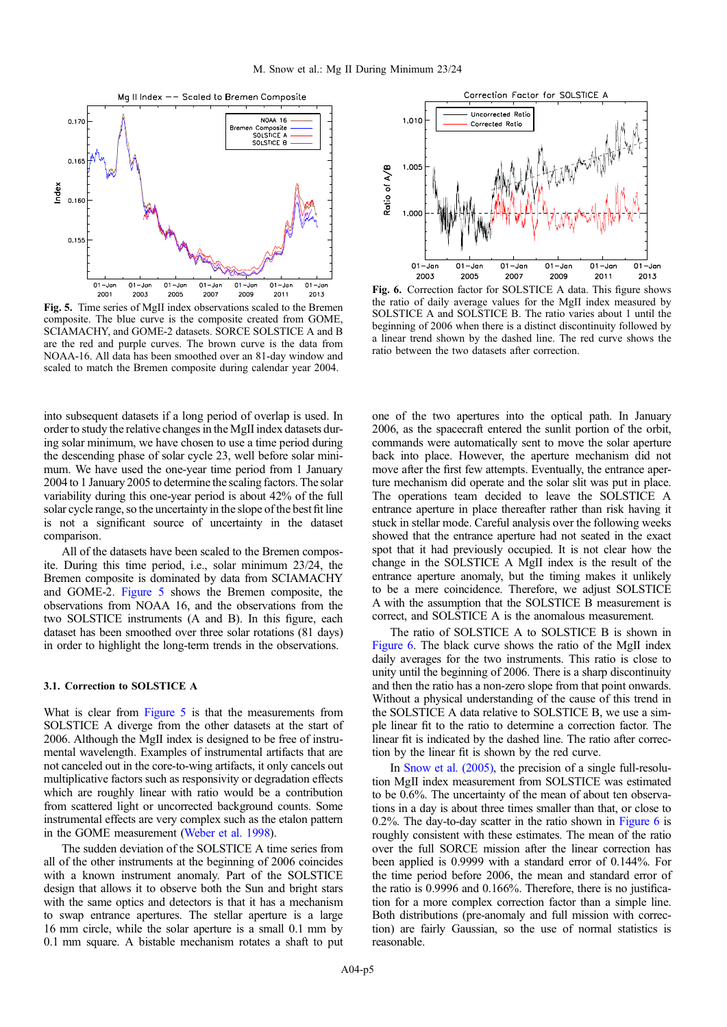

Fig. 5. Time series of MgII index observations scaled to the Bremen composite. The blue curve is the composite created from GOME, SCIAMACHY, and GOME-2 datasets. SORCE SOLSTICE A and B are the red and purple curves. The brown curve is the data from NOAA-16. All data has been smoothed over an 81-day window and scaled to match the Bremen composite during calendar year 2004.

into subsequent datasets if a long period of overlap is used. In order to study the relative changes in the MgII index datasets during solar minimum, we have chosen to use a time period during the descending phase of solar cycle 23, well before solar minimum. We have used the one-year time period from 1 January 2004 to 1 January 2005 to determine the scaling factors. The solar variability during this one-year period is about 42% of the full solar cycle range, so the uncertainty in the slope of the best fit line is not a significant source of uncertainty in the dataset comparison.

All of the datasets have been scaled to the Bremen composite. During this time period, i.e., solar minimum 23/24, the Bremen composite is dominated by data from SCIAMACHY and GOME-2. Figure 5 shows the Bremen composite, the observations from NOAA 16, and the observations from the two SOLSTICE instruments (A and B). In this figure, each dataset has been smoothed over three solar rotations (81 days) in order to highlight the long-term trends in the observations.

#### 3.1. Correction to SOLSTICE A

What is clear from Figure 5 is that the measurements from SOLSTICE A diverge from the other datasets at the start of 2006. Although the MgII index is designed to be free of instrumental wavelength. Examples of instrumental artifacts that are not canceled out in the core-to-wing artifacts, it only cancels out multiplicative factors such as responsivity or degradation effects which are roughly linear with ratio would be a contribution from scattered light or uncorrected background counts. Some instrumental effects are very complex such as the etalon pattern in the GOME measurement [\(Weber et al. 1998](#page-5-0)).

The sudden deviation of the SOLSTICE A time series from all of the other instruments at the beginning of 2006 coincides with a known instrument anomaly. Part of the SOLSTICE design that allows it to observe both the Sun and bright stars with the same optics and detectors is that it has a mechanism to swap entrance apertures. The stellar aperture is a large 16 mm circle, while the solar aperture is a small 0.1 mm by 0.1 mm square. A bistable mechanism rotates a shaft to put



Fig. 6. Correction factor for SOLSTICE A data. This figure shows the ratio of daily average values for the MgII index measured by SOLSTICE A and SOLSTICE B. The ratio varies about 1 until the beginning of 2006 when there is a distinct discontinuity followed by a linear trend shown by the dashed line. The red curve shows the ratio between the two datasets after correction.

one of the two apertures into the optical path. In January 2006, as the spacecraft entered the sunlit portion of the orbit, commands were automatically sent to move the solar aperture back into place. However, the aperture mechanism did not move after the first few attempts. Eventually, the entrance aperture mechanism did operate and the solar slit was put in place. The operations team decided to leave the SOLSTICE A entrance aperture in place thereafter rather than risk having it stuck in stellar mode. Careful analysis over the following weeks showed that the entrance aperture had not seated in the exact spot that it had previously occupied. It is not clear how the change in the SOLSTICE A MgII index is the result of the entrance aperture anomaly, but the timing makes it unlikely to be a mere coincidence. Therefore, we adjust SOLSTICE A with the assumption that the SOLSTICE B measurement is correct, and SOLSTICE A is the anomalous measurement.

The ratio of SOLSTICE A to SOLSTICE B is shown in Figure 6. The black curve shows the ratio of the MgII index daily averages for the two instruments. This ratio is close to unity until the beginning of 2006. There is a sharp discontinuity and then the ratio has a non-zero slope from that point onwards. Without a physical understanding of the cause of this trend in the SOLSTICE A data relative to SOLSTICE B, we use a simple linear fit to the ratio to determine a correction factor. The linear fit is indicated by the dashed line. The ratio after correction by the linear fit is shown by the red curve.

In [Snow et al. \(2005\)](#page-5-0), the precision of a single full-resolution MgII index measurement from SOLSTICE was estimated to be 0.6%. The uncertainty of the mean of about ten observations in a day is about three times smaller than that, or close to 0.2%. The day-to-day scatter in the ratio shown in Figure 6 is roughly consistent with these estimates. The mean of the ratio over the full SORCE mission after the linear correction has been applied is 0.9999 with a standard error of 0.144%. For the time period before 2006, the mean and standard error of the ratio is 0.9996 and 0.166%. Therefore, there is no justification for a more complex correction factor than a simple line. Both distributions (pre-anomaly and full mission with correction) are fairly Gaussian, so the use of normal statistics is reasonable.